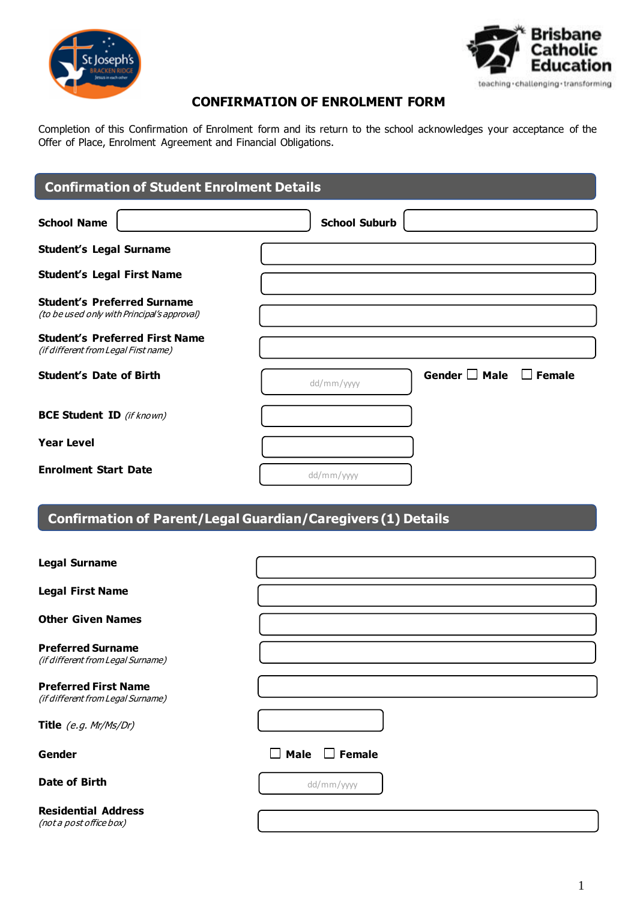



## **CONFIRMATION OF ENROLMENT FORM**

Completion of this Confirmation of Enrolment form and its return to the school acknowledges your acceptance of the Offer of Place, Enrolment Agreement and Financial Obligations.

# **School Name School Suburb** School Suburb **Student's Legal Surname Student's Legal First Name Student's Preferred Surname** (to be used only with Principal's approval) **Student's Preferred First Name** (if different from Legal First name) **Student's Date of Birth** Gender **General Contract Contract Adder Male Gender Gender Gender Gender Gender Gender Gender Gender Gender Gender Gender Gender Gender Gender Gender Gender Gende BCE Student ID** (if known) **Year Level Enrolment Start Date Confirmation of Student Enrolment Details** dd/mm/yyyy dd/mm/yyyy

# **Confirmation of Parent/Legal Guardian/Caregivers (1) Details**

| <b>Legal Surname</b>                                             |                       |
|------------------------------------------------------------------|-----------------------|
| <b>Legal First Name</b>                                          |                       |
| <b>Other Given Names</b>                                         |                       |
| <b>Preferred Surname</b><br>(if different from Legal Surname)    |                       |
| <b>Preferred First Name</b><br>(if different from Legal Surname) |                       |
| Title (e.g. Mr/Ms/Dr)                                            |                       |
| Gender                                                           | Male<br>$\Box$ Female |
| Date of Birth                                                    | dd/mm/yyyy            |
| <b>Residential Address</b><br>(not a post office box)            |                       |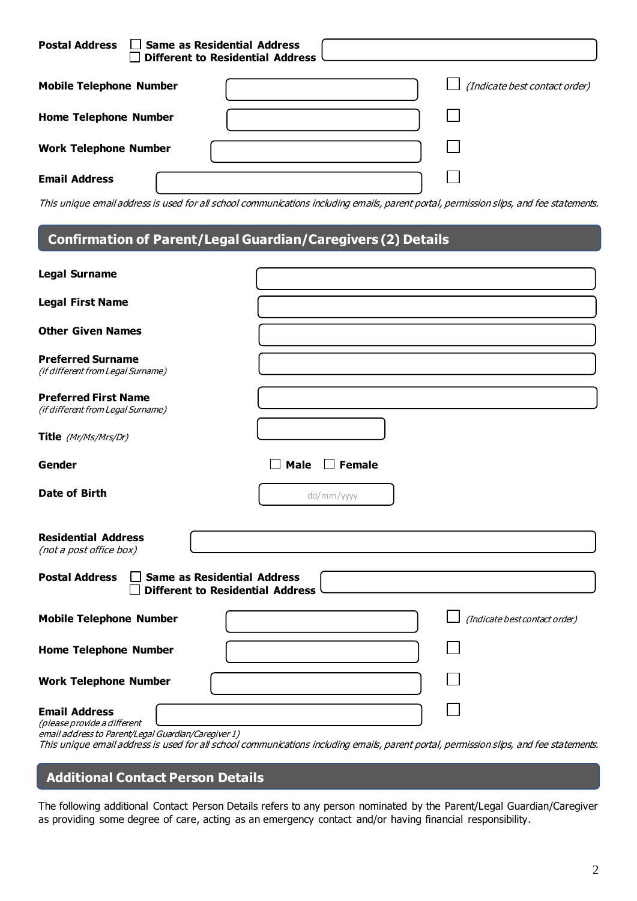| $\Box$ Same as Residential Address<br><b>Postal Address</b> | Different to Residential Address |                               |
|-------------------------------------------------------------|----------------------------------|-------------------------------|
| <b>Mobile Telephone Number</b>                              |                                  | (Indicate best contact order) |
| <b>Home Telephone Number</b>                                |                                  |                               |
| <b>Work Telephone Number</b>                                |                                  |                               |
| <b>Email Address</b>                                        |                                  |                               |

This unique email address is used for all school communications including emails, parent portal, permission slips, and fee statements.

# **Confirmation of Parent/Legal Guardian/Caregivers (2) Details**

**3.**

| <b>Legal Surname</b>                                                                                       |                                                                                                                                        |
|------------------------------------------------------------------------------------------------------------|----------------------------------------------------------------------------------------------------------------------------------------|
| <b>Legal First Name</b>                                                                                    |                                                                                                                                        |
| <b>Other Given Names</b>                                                                                   |                                                                                                                                        |
| <b>Preferred Surname</b><br>(if different from Legal Surname)                                              |                                                                                                                                        |
| <b>Preferred First Name</b><br>(if different from Legal Surname)                                           |                                                                                                                                        |
| Title (Mr/Ms/Mrs/Dr)                                                                                       |                                                                                                                                        |
| Gender                                                                                                     | $\Box$ Female<br><b>Male</b>                                                                                                           |
| Date of Birth                                                                                              | dd/mm/yyyy                                                                                                                             |
| <b>Residential Address</b><br>(not a post office box)                                                      |                                                                                                                                        |
| <b>Same as Residential Address</b><br><b>Postal Address</b><br><b>Different to Residential Address</b>     |                                                                                                                                        |
| <b>Mobile Telephone Number</b>                                                                             | (Indicate best contact order)                                                                                                          |
| <b>Home Telephone Number</b>                                                                               |                                                                                                                                        |
| <b>Work Telephone Number</b>                                                                               |                                                                                                                                        |
| <b>Email Address</b><br>(please provide a different<br>email address to Parent/Legal Guardian/Caregiver 1) | This unique email address is used for all school communications including emails, parent portal, permission slips, and fee statements. |

# **Additional Contact Person Details**

The following additional Contact Person Details refers to any person nominated by the Parent/Legal Guardian/Caregiver as providing some degree of care, acting as an emergency contact and/or having financial responsibility.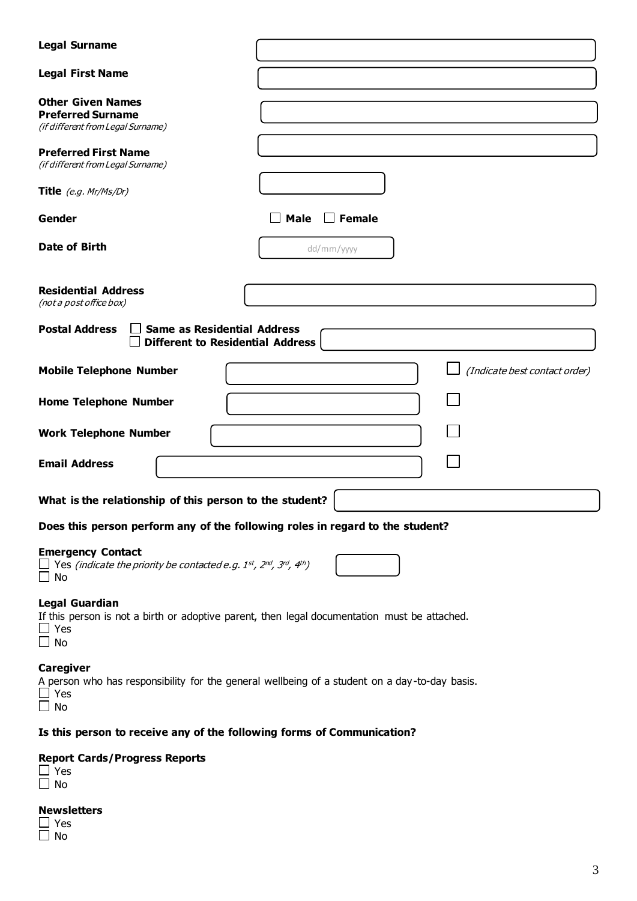| <b>Legal Surname</b>                                                                                                                                                 |                                                                                               |
|----------------------------------------------------------------------------------------------------------------------------------------------------------------------|-----------------------------------------------------------------------------------------------|
| <b>Legal First Name</b>                                                                                                                                              |                                                                                               |
| <b>Other Given Names</b><br><b>Preferred Surname</b><br>(if different from Legal Surname)                                                                            |                                                                                               |
| <b>Preferred First Name</b><br>(if different from Legal Surname)                                                                                                     |                                                                                               |
| Title $(e.g.$ Mr/Ms/Dr)                                                                                                                                              |                                                                                               |
| Gender                                                                                                                                                               | $\Box$ Female<br>Male                                                                         |
| Date of Birth                                                                                                                                                        | dd/mm/yyyy                                                                                    |
| <b>Residential Address</b><br>(not a post office box)                                                                                                                |                                                                                               |
| <b>Postal Address</b><br><b>Same as Residential Address</b><br><b>Different to Residential Address</b>                                                               |                                                                                               |
| <b>Mobile Telephone Number</b>                                                                                                                                       | (Indicate best contact order)                                                                 |
| <b>Home Telephone Number</b>                                                                                                                                         |                                                                                               |
| <b>Work Telephone Number</b>                                                                                                                                         |                                                                                               |
| <b>Email Address</b>                                                                                                                                                 |                                                                                               |
| What is the relationship of this person to the student?                                                                                                              |                                                                                               |
| Does this person perform any of the following roles in regard to the student?                                                                                        |                                                                                               |
| <b>Emergency Contact</b><br>$\Box$ Yes (indicate the priority be contacted e.g. 1 <sup>st</sup> , 2 <sup>nd</sup> , 3 <sup>rd</sup> , 4 <sup>th</sup> )<br>$\Box$ No |                                                                                               |
| <b>Legal Guardian</b><br>$\Box$ Yes<br>$\square$ No                                                                                                                  | If this person is not a birth or adoptive parent, then legal documentation must be attached.  |
| <b>Caregiver</b><br>$\Box$ Yes<br>$\Box$ No                                                                                                                          | A person who has responsibility for the general wellbeing of a student on a day-to-day basis. |
| Is this person to receive any of the following forms of Communication?                                                                                               |                                                                                               |

#### **Report Cards/Progress Reports**

## **Newsletters**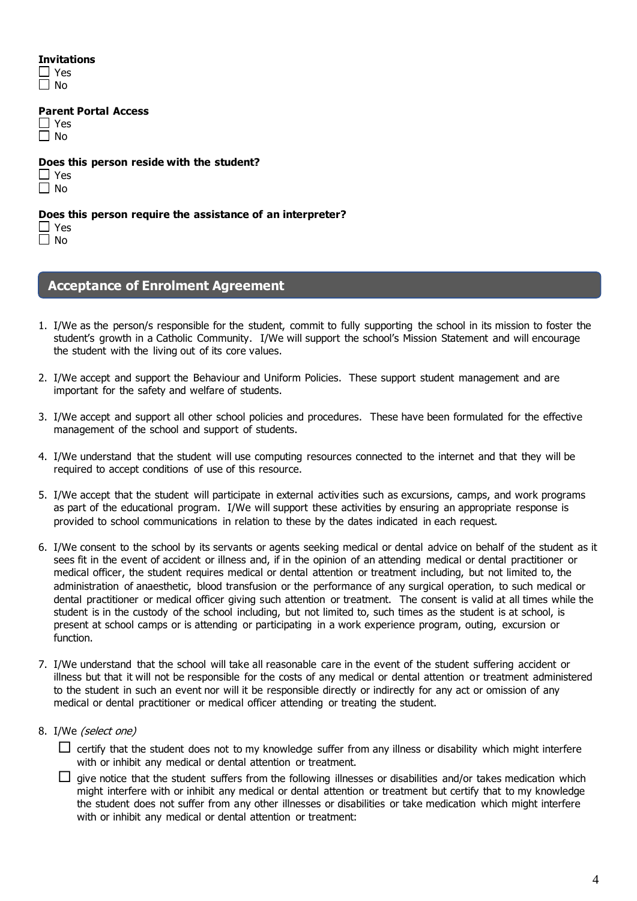#### **Invitations**

| 2<br>۱ |
|--------|
| J<br>٠ |

**Parent Portal Access**

| u. |
|----|
| V  |

**Does this person reside with the student?**

| ۹ |
|---|
|   |

#### **Does this person require the assistance of an interpreter?**

□ Yes

 $\Box$  No

### **Acceptance of Enrolment Agreement**

- 1. I/We as the person/s responsible for the student, commit to fully supporting the school in its mission to foster the student's growth in a Catholic Community. I/We will support the school's Mission Statement and will encourage the student with the living out of its core values.
- 2. I/We accept and support the Behaviour and Uniform Policies. These support student management and are important for the safety and welfare of students.
- 3. I/We accept and support all other school policies and procedures. These have been formulated for the effective management of the school and support of students.
- 4. I/We understand that the student will use computing resources connected to the internet and that they will be required to accept conditions of use of this resource.
- 5. I/We accept that the student will participate in external activities such as excursions, camps, and work programs as part of the educational program. I/We will support these activities by ensuring an appropriate response is provided to school communications in relation to these by the dates indicated in each request.
- 6. I/We consent to the school by its servants or agents seeking medical or dental advice on behalf of the student as it sees fit in the event of accident or illness and, if in the opinion of an attending medical or dental practitioner or medical officer, the student requires medical or dental attention or treatment including, but not limited to, the administration of anaesthetic, blood transfusion or the performance of any surgical operation, to such medical or dental practitioner or medical officer giving such attention or treatment. The consent is valid at all times while the student is in the custody of the school including, but not limited to, such times as the student is at school, is present at school camps or is attending or participating in a work experience program, outing, excursion or function.
- 7. I/We understand that the school will take all reasonable care in the event of the student suffering accident or illness but that it will not be responsible for the costs of any medical or dental attention or treatment administered to the student in such an event nor will it be responsible directly or indirectly for any act or omission of any medical or dental practitioner or medical officer attending or treating the student.
- 8. I/We (select one)

 $\Box$  certify that the student does not to my knowledge suffer from any illness or disability which might interfere with or inhibit any medical or dental attention or treatment.

 $\Box$  give notice that the student suffers from the following illnesses or disabilities and/or takes medication which might interfere with or inhibit any medical or dental attention or treatment but certify that to my knowledge the student does not suffer from any other illnesses or disabilities or take medication which might interfere with or inhibit any medical or dental attention or treatment: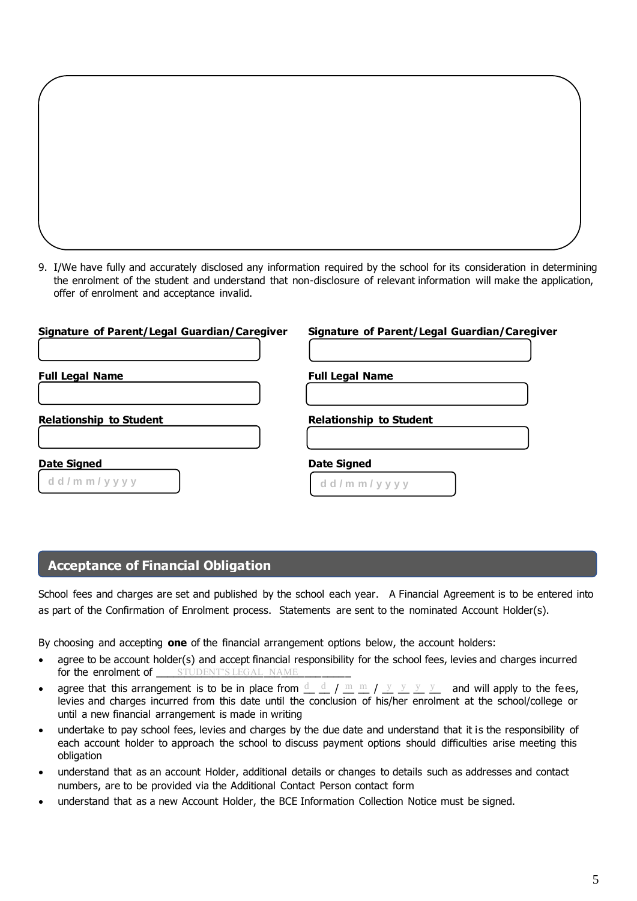9. I/We have fully and accurately disclosed any information required by the school for its consideration in determining the enrolment of the student and understand that non-disclosure of relevant information will make the application, offer of enrolment and acceptance invalid.

| Signature of Parent/Legal Guardian/Caregiver | <b>Signature of Parent/Legal Guardian/Caregiver</b> |
|----------------------------------------------|-----------------------------------------------------|
| <b>Full Legal Name</b>                       | <b>Full Legal Name</b>                              |
| <b>Relationship to Student</b>               | <b>Relationship to Student</b>                      |
| <b>Date Signed</b><br>d d / m m / y y y y    | <b>Date Signed</b><br>d d / m m / y y y y           |

## **Acceptance of Financial Obligation**

School fees and charges are set and published by the school each year. A Financial Agreement is to be entered into as part of the Confirmation of Enrolment process. Statements are sent to the nominated Account Holder(s).

By choosing and accepting **one** of the financial arrangement options below, the account holders:

- agree to be account holder(s) and accept financial responsibility for the school fees, levies and charges incurred for the enrolment of \_\_\_\_\_\_student's legal name \_\_\_\_\_\_\_\_
- agree that this arrangement is to be in place from  $\frac{d}{dx}$   $\frac{d}{dx}$   $\frac{d}{dx}$   $\frac{m}{dx}$   $\frac{m}{dx}$   $\frac{y}{y}$   $\frac{y}{y}$  and will apply to the fees, levies and charges incurred from this date until the conclusion of his/her enrolment at the school/college or until a new financial arrangement is made in writing
- undertake to pay school fees, levies and charges by the due date and understand that it is the responsibility of each account holder to approach the school to discuss payment options should difficulties arise meeting this obligation
- understand that as an account Holder, additional details or changes to details such as addresses and contact numbers, are to be provided via the Additional Contact Person contact form
- understand that as a new Account Holder, the BCE Information Collection Notice must be signed.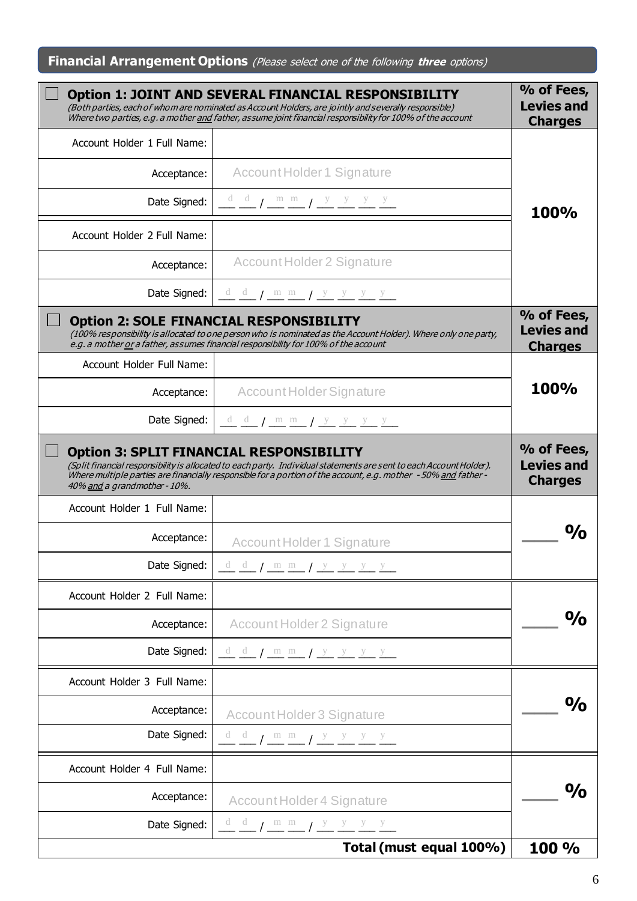# **Financial Arrangement Options** (Please select one of the following **three** options)

|                              | <b>Option 1: JOINT AND SEVERAL FINANCIAL RESPONSIBILITY</b><br>(Both parties, each of whom are nominated as Account Holders, are jointly and severally responsible)<br>Where two parties, e.g. a mother and father, assume joint financial responsibility for 100% of the account                                                         | % of Fees,<br><b>Levies and</b><br><b>Charges</b> |
|------------------------------|-------------------------------------------------------------------------------------------------------------------------------------------------------------------------------------------------------------------------------------------------------------------------------------------------------------------------------------------|---------------------------------------------------|
| Account Holder 1 Full Name:  |                                                                                                                                                                                                                                                                                                                                           |                                                   |
| Acceptance:                  | Account Holder 1 Signature                                                                                                                                                                                                                                                                                                                |                                                   |
| Date Signed:                 | $\frac{d}{dx}$ $\frac{d}{dx}$ $\frac{d}{dx}$ $\frac{d}{dx}$ $\frac{d}{dx}$ $\frac{d}{dx}$ $\frac{d}{dx}$ $\frac{d}{dx}$ $\frac{d}{dx}$ $\frac{d}{dx}$ $\frac{d}{dx}$ $\frac{d}{dx}$ $\frac{d}{dx}$ $\frac{d}{dx}$ $\frac{d}{dx}$ $\frac{d}{dx}$ $\frac{d}{dx}$ $\frac{d}{dx}$ $\frac{d}{dx}$ $\frac{d}{dx}$ $\frac{d}{dx}$ $\frac{d}{dx}$ | <b>100%</b>                                       |
| Account Holder 2 Full Name:  |                                                                                                                                                                                                                                                                                                                                           |                                                   |
| Acceptance:                  | Account Holder 2 Signature                                                                                                                                                                                                                                                                                                                |                                                   |
| Date Signed:                 | $\frac{d}{dx}$ $\frac{d}{dx}$ $\frac{m}{dx}$ $\frac{m}{dx}$ $\frac{y}{y}$ $\frac{y}{y}$ $\frac{y}{y}$                                                                                                                                                                                                                                     |                                                   |
|                              | <b>Option 2: SOLE FINANCIAL RESPONSIBILITY</b><br>(100% responsibility is allocated to one person who is nominated as the Account Holder). Where only one party,<br>e.g. a mother or a father, assumes financial responsibility for 100% of the account                                                                                   | % of Fees,<br><b>Levies and</b><br><b>Charges</b> |
| Account Holder Full Name:    |                                                                                                                                                                                                                                                                                                                                           |                                                   |
| Acceptance:                  | Account Holder Signature                                                                                                                                                                                                                                                                                                                  | <b>100%</b>                                       |
| Date Signed:                 | $d$ d $\frac{d}{dx}$ $\frac{m}{dx}$ $\frac{m}{dx}$ $\frac{y}{y}$ $\frac{y}{y}$ $\frac{y}{y}$                                                                                                                                                                                                                                              |                                                   |
| 40% and a grandmother - 10%. | <b>Option 3: SPLIT FINANCIAL RESPONSIBILITY</b><br>(Split financial responsibility is allocated to each party. Individual statements are sent to each Account Holder).<br>Where multiple parties are financially responsible for a portion of the account, e.g. mother - 50% and father -                                                 | % of Fees,<br><b>Levies and</b><br><b>Charges</b> |
| Account Holder 1 Full Name:  |                                                                                                                                                                                                                                                                                                                                           |                                                   |
| Acceptance:                  | <b>Account Holder 1 Signature</b>                                                                                                                                                                                                                                                                                                         |                                                   |
| Date Signed:                 | $d$ $d$ $f$ $m$ $m$ $f$ $y$ $y$ $y$ $y$                                                                                                                                                                                                                                                                                                   |                                                   |
| Account Holder 2 Full Name:  |                                                                                                                                                                                                                                                                                                                                           |                                                   |
| Acceptance:                  | Account Holder 2 Signature                                                                                                                                                                                                                                                                                                                | $\frac{O}{O}$                                     |
| Date Signed:                 | $\underline{d}$ $\underline{d}$ / $\underline{m}$ $\underline{m}$ / $\underline{y}$ $\underline{y}$ $\underline{y}$ $\underline{y}$ $\underline{y}$                                                                                                                                                                                       |                                                   |
| Account Holder 3 Full Name:  |                                                                                                                                                                                                                                                                                                                                           |                                                   |
| Acceptance:                  | Account Holder 3 Signature                                                                                                                                                                                                                                                                                                                | $\frac{O}{O}$                                     |
| Date Signed:                 | $\frac{d}{dx}$ $\frac{d}{dx}$ $\frac{m}{dx}$ $\frac{m}{dx}$ $\frac{y}{y}$ $\frac{y}{y}$ $\frac{y}{y}$ $\frac{y}{y}$                                                                                                                                                                                                                       |                                                   |
| Account Holder 4 Full Name:  |                                                                                                                                                                                                                                                                                                                                           |                                                   |
| Acceptance:                  | Account Holder 4 Signature                                                                                                                                                                                                                                                                                                                | $\frac{O}{O}$                                     |
| Date Signed:                 | $\frac{d}{dx}$ $\frac{d}{dx}$ $\frac{m}{dx}$ $\frac{m}{dx}$ $\frac{y}{y}$ $\frac{y}{y}$ $\frac{y}{y}$ $\frac{y}{y}$                                                                                                                                                                                                                       |                                                   |
|                              | Total (must equal 100%)                                                                                                                                                                                                                                                                                                                   | 100 %                                             |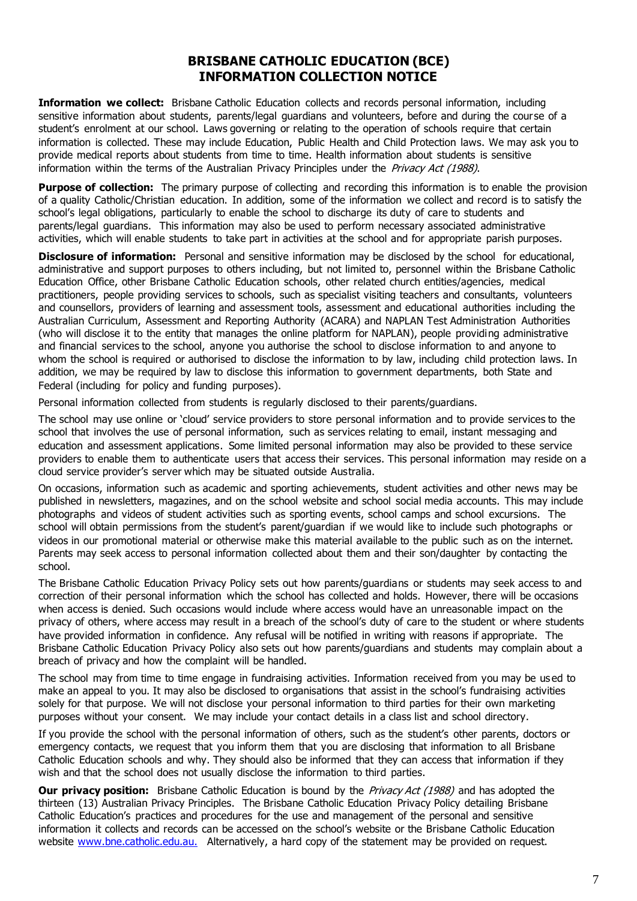## **BRISBANE CATHOLIC EDUCATION (BCE) INFORMATION COLLECTION NOTICE**

**Information we collect:** Brisbane Catholic Education collects and records personal information, including sensitive information about students, parents/legal guardians and volunteers, before and during the course of a student's enrolment at our school. Laws governing or relating to the operation of schools require that certain information is collected. These may include Education, Public Health and Child Protection laws. We may ask you to provide medical reports about students from time to time. Health information about students is sensitive information within the terms of the Australian Privacy Principles under the Privacy Act (1988).

**Purpose of collection:** The primary purpose of collecting and recording this information is to enable the provision of a quality Catholic/Christian education. In addition, some of the information we collect and record is to satisfy the school's legal obligations, particularly to enable the school to discharge its duty of care to students and parents/legal guardians. This information may also be used to perform necessary associated administrative activities, which will enable students to take part in activities at the school and for appropriate parish purposes.

**Disclosure of information:** Personal and sensitive information may be disclosed by the school for educational, administrative and support purposes to others including, but not limited to, personnel within the Brisbane Catholic Education Office, other Brisbane Catholic Education schools, other related church entities/agencies, medical practitioners, people providing services to schools, such as specialist visiting teachers and consultants, volunteers and counsellors, providers of learning and assessment tools, assessment and educational authorities including the Australian Curriculum, Assessment and Reporting Authority (ACARA) and NAPLAN Test Administration Authorities (who will disclose it to the entity that manages the online platform for NAPLAN), people providing administrative and financial services to the school, anyone you authorise the school to disclose information to and anyone to whom the school is required or authorised to disclose the information to by law, including child protection laws. In addition, we may be required by law to disclose this information to government departments, both State and Federal (including for policy and funding purposes).

Personal information collected from students is regularly disclosed to their parents/guardians.

The school may use online or 'cloud' service providers to store personal information and to provide services to the school that involves the use of personal information, such as services relating to email, instant messaging and education and assessment applications. Some limited personal information may also be provided to these service providers to enable them to authenticate users that access their services. This personal information may reside on a cloud service provider's server which may be situated outside Australia.

On occasions, information such as academic and sporting achievements, student activities and other news may be published in newsletters, magazines, and on the school website and school social media accounts. This may include photographs and videos of student activities such as sporting events, school camps and school excursions. The school will obtain permissions from the student's parent/guardian if we would like to include such photographs or videos in our promotional material or otherwise make this material available to the public such as on the internet. Parents may seek access to personal information collected about them and their son/daughter by contacting the school.

The Brisbane Catholic Education Privacy Policy sets out how parents/guardians or students may seek access to and correction of their personal information which the school has collected and holds. However, there will be occasions when access is denied. Such occasions would include where access would have an unreasonable impact on the privacy of others, where access may result in a breach of the school's duty of care to the student or where students have provided information in confidence. Any refusal will be notified in writing with reasons if appropriate. The Brisbane Catholic Education Privacy Policy also sets out how parents/guardians and students may complain about a breach of privacy and how the complaint will be handled.

The school may from time to time engage in fundraising activities. Information received from you may be us ed to make an appeal to you. It may also be disclosed to organisations that assist in the school's fundraising activities solely for that purpose. We will not disclose your personal information to third parties for their own marketing purposes without your consent. We may include your contact details in a class list and school directory.

If you provide the school with the personal information of others, such as the student's other parents, doctors or emergency contacts, we request that you inform them that you are disclosing that information to all Brisbane Catholic Education schools and why. They should also be informed that they can access that information if they wish and that the school does not usually disclose the information to third parties.

**Our privacy position:** Brisbane Catholic Education is bound by the *Privacy Act (1988)* and has adopted the thirteen (13) Australian Privacy Principles. The Brisbane Catholic Education Privacy Policy detailing Brisbane Catholic Education's practices and procedures for the use and management of the personal and sensitive information it collects and records can be accessed on the school's website or the Brisbane Catholic Education website www.bne.catholic.edu.au. Alternatively, a hard copy of the statement may be provided on request.